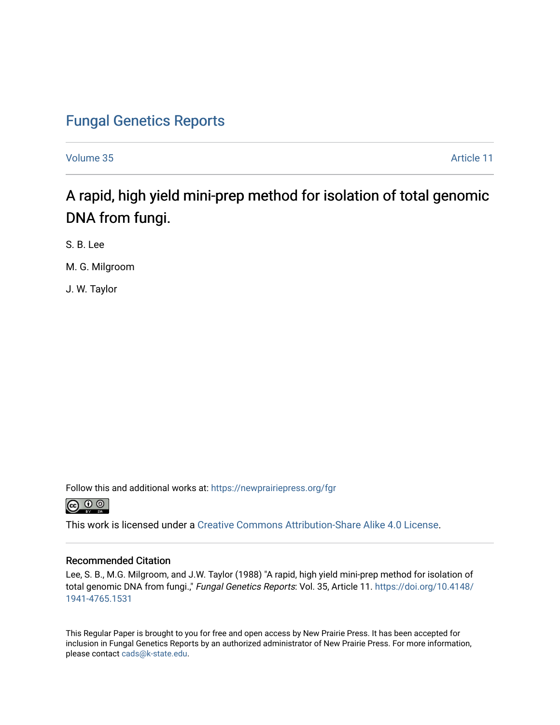## [Fungal Genetics Reports](https://newprairiepress.org/fgr)

[Volume 35](https://newprairiepress.org/fgr/vol35) Article 11

A rapid, high yield mini-prep method for isolation of total genomic DNA from fungi.

S. B. Lee

M. G. Milgroom

J. W. Taylor

Follow this and additional works at: [https://newprairiepress.org/fgr](https://newprairiepress.org/fgr?utm_source=newprairiepress.org%2Ffgr%2Fvol35%2Fiss1%2F11&utm_medium=PDF&utm_campaign=PDFCoverPages) 



This work is licensed under a [Creative Commons Attribution-Share Alike 4.0 License.](https://creativecommons.org/licenses/by-sa/4.0/)

## Recommended Citation

Lee, S. B., M.G. Milgroom, and J.W. Taylor (1988) "A rapid, high yield mini-prep method for isolation of total genomic DNA from fungi.," Fungal Genetics Reports: Vol. 35, Article 11. [https://doi.org/10.4148/](https://doi.org/10.4148/1941-4765.1531) [1941-4765.1531](https://doi.org/10.4148/1941-4765.1531) 

This Regular Paper is brought to you for free and open access by New Prairie Press. It has been accepted for inclusion in Fungal Genetics Reports by an authorized administrator of New Prairie Press. For more information, please contact [cads@k-state.edu.](mailto:cads@k-state.edu)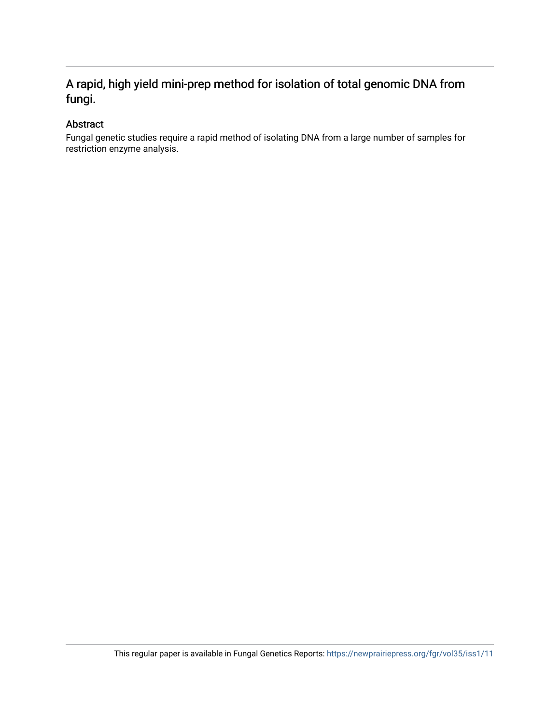## A rapid, high yield mini-prep method for isolation of total genomic DNA from fungi.

## Abstract

Fungal genetic studies require a rapid method of isolating DNA from a large number of samples for restriction enzyme analysis.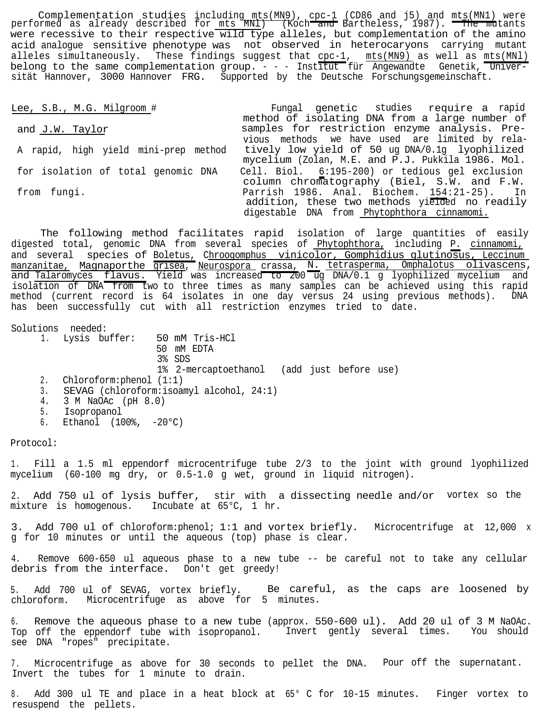Lee, S.B., M.G. Milgroom # Tungal genetic studies require a rapid method of isolating DNA from a large number of and J.W. Taylor **samples** for restriction enzyme analysis. Previous methods we have used are limited by rela-A rapid, high yield mini-prep method tively low yield of 50 ug DNA/0.1g lyophilized mycelium (Zolan, M.E. and P.J. Pukkila 1986. Mol. for isolation of total genomic DNA Cell. Biol. 6:195-200) or tedious gel exclusion column chromatography (Biel, S.W. and F.W. from fungi. The settle of the parrish 1986. Anal. Biochem. 154:21-25). addition, these two methods yielded no readily digestable DNA from Phytophthora cinnamomi.

The following method facilitates rapid isolation of large quantities of easily digested total, genomic DNA from several species of Phytophthora, including P. cinnamomi, and several species of Boletus, Chroogomphus vinicolor, Gomphidius glutinosus, Leccinum manzanitae, Magnaporthe grisea, Neurospora crassa, N. tetrasperma, Omphalotus olivascens, and <u>Talaromyces</u> flavus. Yield was increased to 200 ug DNA/0.1 g lyophilized mycelium and isolation of DNA from two to three times as many samples can be achieved using this rapid method (current record is 64 isolates in one day versus 24 using previous methods). DNA has been successfully cut with all restriction enzymes tried to date.

Solutions needed:

- 1. Lysis buffer: 50 mM Tris-HCl
	- 50 mM EDTA
	- 3% SDS
		- 1% 2-mercaptoethanol (add just before use)
- 2. Chloroform:phenol (1:1)
- 3. SEVAG (chloroform:isoamyl alcohol, 24:1)
- 4. 3 M NaOAc (pH 8.0)
- 5. Isopropanol
- 6. Ethanol (100%, -20°C)

Protocol:

1. Fill a 1.5 ml eppendorf microcentrifuge tube 2/3 to the joint with ground lyophilized mycelium (60-100 mg dry, or 0.5-1.0 g wet, ground in liquid nitrogen).

2. Add 750 ul of lysis buffer, stir with a dissecting needle and/or vortex so the mixture is homogenous. Incubate at 65°C, 1 hr.

3. Add 700 ul of chloroform:phenol; 1:1 and vortex briefly. Microcentrifuge at 12,000 x g for 10 minutes or until the aqueous (top) phase is clear.

4. Remove 600-650 ul aqueous phase to a new tube -- be careful not to take any cellular debris from the interface. Don't get greedy!

5. Add 700 ul of SEVAG, vortex briefly. Be careful, as the caps are loosened by chloroform. Microcentrifuge as above for 5 minutes.

6. Remove the aqueous phase to a new tube (approx. 550-600 ul). Add 20 ul of 3 M NaOAc. Top off the eppendorf tube with isopropanol. Invert gently several times. You should see DNA "ropes" precipitate.

7. Microcentrifuge as above for 30 seconds to pellet the DNA. Pour off the supernatant. Invert the tubes for 1 minute to drain.

8. Add 300 ul TE and place in a heat block at 65° C for 10-15 minutes. Finger vortex to resuspend the pellets.